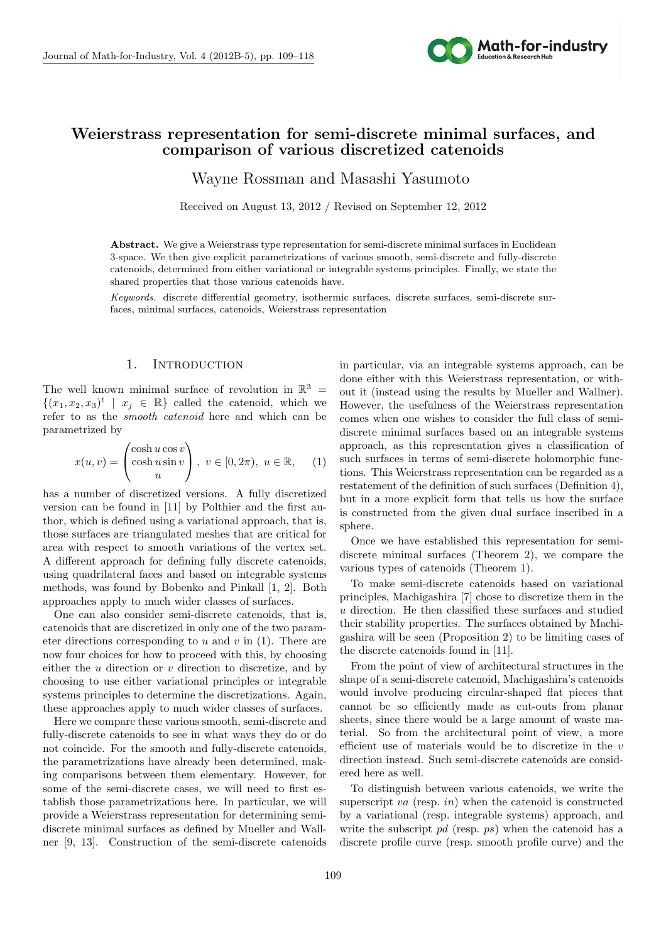

# **Weierstrass representation for semi-discrete minimal surfaces, and comparison of various discretized catenoids**

Wayne Rossman and Masashi Yasumoto

Received on August 13, 2012 / Revised on September 12, 2012

Abstract. We give a Weierstrass type representation for semi-discrete minimal surfaces in Euclidean 3-space. We then give explicit parametrizations of various smooth, semi-discrete and fully-discrete catenoids, determined from either variational or integrable systems principles. Finally, we state the shared properties that those various catenoids have.

*Keywords.* discrete differential geometry, isothermic surfaces, discrete surfaces, semi-discrete surfaces, minimal surfaces, catenoids, Weierstrass representation

#### 1. INTRODUCTION

The well known minimal surface of revolution in  $\mathbb{R}^3$  =  $\{(x_1, x_2, x_3)^t \mid x_j \in \mathbb{R}\}$  called the catenoid, which we refer to as the *smooth catenoid* here and which can be parametrized by

$$
x(u,v) = \begin{pmatrix} \cosh u \cos v \\ \cosh u \sin v \\ u \end{pmatrix}, \ v \in [0, 2\pi), \ u \in \mathbb{R}, \qquad (1)
$$

has a number of discretized versions. A fully discretized version can be found in [11] by Polthier and the first author, which is defined using a variational approach, that is, those surfaces are triangulated meshes that are critical for area with respect to smooth variations of the vertex set. A different approach for defining fully discrete catenoids, using quadrilateral faces and based on integrable systems methods, was found by Bobenko and Pinkall [1, 2]. Both approaches apply to much wider classes of surfaces.

One can also consider semi-discrete catenoids, that is, catenoids that are discretized in only one of the two parameter directions corresponding to *u* and *v* in (1). There are now four choices for how to proceed with this, by choosing either the *u* direction or *v* direction to discretize, and by choosing to use either variational principles or integrable systems principles to determine the discretizations. Again, these approaches apply to much wider classes of surfaces.

Here we compare these various smooth, semi-discrete and fully-discrete catenoids to see in what ways they do or do not coincide. For the smooth and fully-discrete catenoids, the parametrizations have already been determined, making comparisons between them elementary. However, for some of the semi-discrete cases, we will need to first establish those parametrizations here. In particular, we will provide a Weierstrass representation for determining semidiscrete minimal surfaces as defined by Mueller and Wallner [9, 13]. Construction of the semi-discrete catenoids in particular, via an integrable systems approach, can be done either with this Weierstrass representation, or without it (instead using the results by Mueller and Wallner). However, the usefulness of the Weierstrass representation comes when one wishes to consider the full class of semidiscrete minimal surfaces based on an integrable systems approach, as this representation gives a classification of such surfaces in terms of semi-discrete holomorphic functions. This Weierstrass representation can be regarded as a restatement of the definition of such surfaces (Definition 4), but in a more explicit form that tells us how the surface is constructed from the given dual surface inscribed in a sphere.

Once we have established this representation for semidiscrete minimal surfaces (Theorem 2), we compare the various types of catenoids (Theorem 1).

To make semi-discrete catenoids based on variational principles, Machigashira [7] chose to discretize them in the *u* direction. He then classified these surfaces and studied their stability properties. The surfaces obtained by Machigashira will be seen (Proposition 2) to be limiting cases of the discrete catenoids found in [11].

From the point of view of architectural structures in the shape of a semi-discrete catenoid, Machigashira's catenoids would involve producing circular-shaped flat pieces that cannot be so efficiently made as cut-outs from planar sheets, since there would be a large amount of waste material. So from the architectural point of view, a more efficient use of materials would be to discretize in the *v* direction instead. Such semi-discrete catenoids are considered here as well.

To distinguish between various catenoids, we write the superscript *va* (resp. *in*) when the catenoid is constructed by a variational (resp. integrable systems) approach, and write the subscript *pd* (resp. *ps*) when the catenoid has a discrete profile curve (resp. smooth profile curve) and the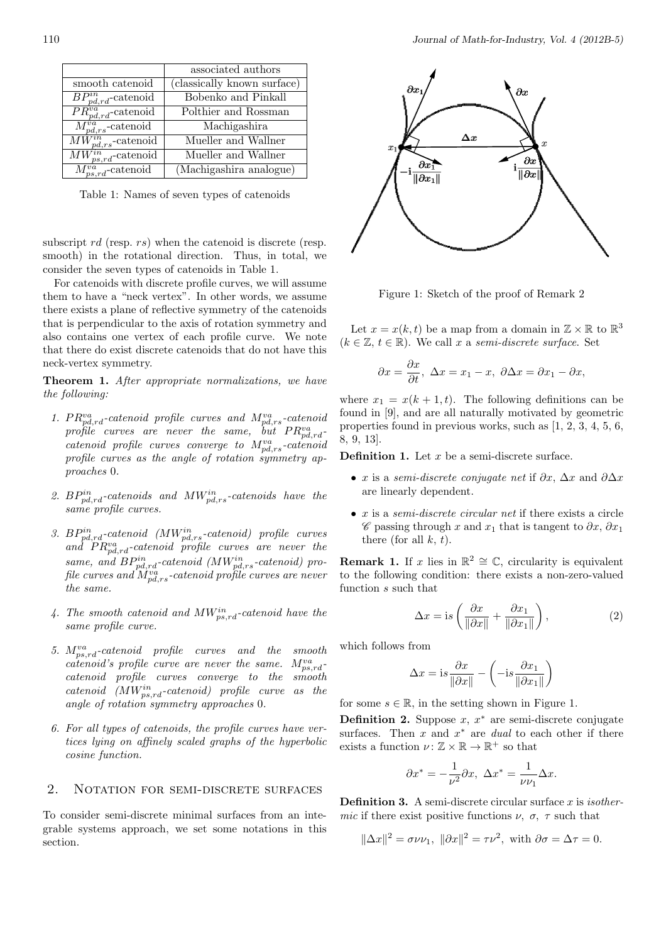|                             | associated authors          |
|-----------------------------|-----------------------------|
| smooth catenoid             | (classically known surface) |
| $BP_{pd,rd}^{in}$ -catenoid | Bobenko and Pinkall         |
| $PR_{pd,rd}^{va}$ -catenoid | Polthier and Rossman        |
| $M_{pd,rs}^{va}$ -catenoid  | Machigashira                |
| $MW_{pd,rs}^{in}$ -catenoid | Mueller and Wallner         |
| $MW_{ps,rd}^{in}$ -catenoid | Mueller and Wallner         |
| $M_{ps,rd}^{va}$ -catenoid  | (Machigashira analogue)     |

Table 1: Names of seven types of catenoids

subscript *rd* (resp. *rs*) when the catenoid is discrete (resp. smooth) in the rotational direction. Thus, in total, we consider the seven types of catenoids in Table 1.

For catenoids with discrete profile curves, we will assume them to have a "neck vertex". In other words, we assume there exists a plane of reflective symmetry of the catenoids that is perpendicular to the axis of rotation symmetry and also contains one vertex of each profile curve. We note that there do exist discrete catenoids that do not have this neck-vertex symmetry.

**Theorem 1.** *After appropriate normalizations, we have the following:*

- 1.  $PR_{pd,rd}^{va}$ -catenoid profile curves and  $M_{pd,rs}^{va}$ -catenoid  $\frac{1}{2}$  *profile curves are never the same, but*  $PR_{pd,rd}^{va}$ *catenoid profile curves converge to Mva pd,rs-catenoid profile curves as the angle of rotation symmetry approaches* 0*.*
- *2. BPin pd,rd-catenoids and MWin pd,rs-catenoids have the same profile curves.*
- *3. BPin pd,rd-catenoid (MWin pd,rs-catenoid) profile curves*  $and \quad PR^{va}_{pd,rd}\text{-}catenoid \quad profile \quad curves \quad are \quad never \quad the$ *same, and*  $BP^{in}_{pd,rd}$ *-catenoid (MW<sup><i>in*</sup><sub>pd,rs</sub>-catenoid) pro $f$ ile curves and  $\dot{M}^{va}_{pd,rs}$ -catenoid pro $\dot{f}$ ile curves are never *the same.*
- *4. The smooth catenoid and MWin ps,rd-catenoid have the same profile curve.*
- *5. Mva ps,rd-catenoid profile curves and the smooth catenoid's profile curve are never the same.*  $M_{ps,rd}^{va}$ *catenoid profile curves converge to the smooth catenoid (MWin ps,rd-catenoid) profile curve as the angle of rotation symmetry approaches* 0*.*
- *6. For all types of catenoids, the profile curves have vertices lying on affinely scaled graphs of the hyperbolic cosine function.*

#### 2. NOTATION FOR SEMI-DISCRETE SURFACES

To consider semi-discrete minimal surfaces from an integrable systems approach, we set some notations in this section.



Figure 1: Sketch of the proof of Remark 2

Let  $x = x(k, t)$  be a map from a domain in  $\mathbb{Z} \times \mathbb{R}$  to  $\mathbb{R}^3$  $(k \in \mathbb{Z}, t \in \mathbb{R})$ . We call *x* a *semi-discrete surface*. Set

$$
\partial x = \frac{\partial x}{\partial t}, \ \Delta x = x_1 - x, \ \partial \Delta x = \partial x_1 - \partial x,
$$

where  $x_1 = x(k+1,t)$ . The following definitions can be found in [9], and are all naturally motivated by geometric properties found in previous works, such as [1, 2, 3, 4, 5, 6, 8, 9, 13].

**Definition 1.** Let *x* be a semi-discrete surface.

- *• x* is a *semi-discrete conjugate net* if *∂x*, ∆*x* and *∂*∆*x* are linearly dependent.
- *• x* is a *semi-discrete circular net* if there exists a circle *C* passing through *x* and *x*<sup>1</sup> that is tangent to *∂x*, *∂x*<sup>1</sup> there (for all *k, t*).

**Remark 1.** If *x* lies in  $\mathbb{R}^2 \cong \mathbb{C}$ , circularity is equivalent to the following condition: there exists a non-zero-valued function *s* such that

$$
\Delta x = \text{is}\left(\frac{\partial x}{\|\partial x\|} + \frac{\partial x_1}{\|\partial x_1\|}\right),\tag{2}
$$

which follows from

$$
\Delta x = \mathrm{i} s \frac{\partial x}{\|\partial x\|} - \left(-\mathrm{i} s \frac{\partial x_1}{\|\partial x_1\|}\right)
$$

for some  $s \in \mathbb{R}$ , in the setting shown in Figure 1.

**Definition 2.** Suppose *x*, *x <sup>∗</sup>* are semi-discrete conjugate surfaces. Then *x* and *x <sup>∗</sup>* are *dual* to each other if there exists a function  $\nu: \mathbb{Z} \times \mathbb{R} \to \mathbb{R}^+$  so that

$$
\partial x^* = -\frac{1}{\nu^2} \partial x, \ \Delta x^* = \frac{1}{\nu \nu_1} \Delta x.
$$

**Definition 3.** A semi-discrete circular surface *x* is *isothermic* if there exist positive functions  $\nu$ ,  $\sigma$ ,  $\tau$  such that

$$
\|\Delta x\|^2 = \sigma \nu \nu_1, \ \|\partial x\|^2 = \tau \nu^2, \text{ with } \partial \sigma = \Delta \tau = 0.
$$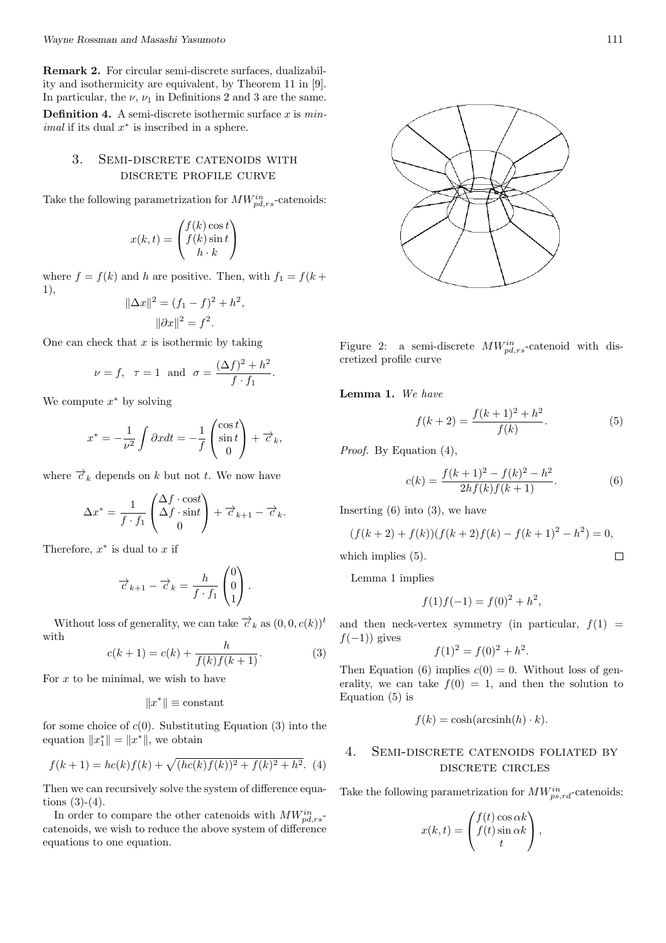**Remark 2.** For circular semi-discrete surfaces, dualizability and isothermicity are equivalent, by Theorem 11 in [9]. In particular, the  $\nu$ ,  $\nu_1$  in Definitions 2 and 3 are the same.

**Definition 4.** A semi-discrete isothermic surface *x* is *minimal* if its dual *x ∗* is inscribed in a sphere.

### 3. Semi-discrete catenoids with discrete profile curve

Take the following parametrization for  $MW_{pd,rs}^{in}$ -catenoids:

$$
x(k,t) = \begin{pmatrix} f(k)\cos t \\ f(k)\sin t \\ h \cdot k \end{pmatrix}
$$

where  $f = f(k)$  and *h* are positive. Then, with  $f_1 = f(k + \epsilon)$ 1),

$$
\|\Delta x\|^2 = (f_1 - f)^2 + h^2,
$$
  

$$
\|\partial x\|^2 = f^2.
$$

One can check that *x* is isothermic by taking

$$
\nu = f, \ \ \tau = 1 \ \text{ and } \ \sigma = \frac{(\Delta f)^2 + h^2}{f \cdot f_1}.
$$

We compute *x <sup>∗</sup>* by solving

$$
x^* = -\frac{1}{\nu^2} \int \partial x dt = -\frac{1}{f} \begin{pmatrix} \cos t \\ \sin t \\ 0 \end{pmatrix} + \overrightarrow{c}_k,
$$

where  $\vec{c}_k$  depends on *k* but not *t*. We now have

$$
\Delta x^* = \frac{1}{f \cdot f_1} \begin{pmatrix} \Delta f \cdot \text{cost} \\ \Delta f \cdot \text{sin}t \\ 0 \end{pmatrix} + \overrightarrow{c}_{k+1} - \overrightarrow{c}_k.
$$

Therefore, *x ∗* is dual to *x* if

$$
\overrightarrow{c}_{k+1} - \overrightarrow{c}_k = \frac{h}{f \cdot f_1} \begin{pmatrix} 0 \\ 0 \\ 1 \end{pmatrix}.
$$

Without loss of generality, we can take  $\vec{\tau}_k$  as  $(0, 0, c(k))^t$ with

$$
c(k+1) = c(k) + \frac{h}{f(k)f(k+1)}.
$$
 (3)

For *x* to be minimal, we wish to have

$$
||x^*|| \equiv \text{constant}
$$

for some choice of  $c(0)$ . Substituting Equation (3) into the equation  $||x_1^*|| = ||x^*||$ , we obtain

$$
f(k+1) = hc(k)f(k) + \sqrt{(hc(k)f(k))^{2} + f(k)^{2} + h^{2}}.
$$
 (4)

Then we can recursively solve the system of difference equations  $(3)-(4)$ .

In order to compare the other catenoids with  $MW_{pd,rs}^{in}$ catenoids, we wish to reduce the above system of difference equations to one equation.



Figure 2: a semi-discrete  $MW_{pd,rs}^{in}$ -catenoid with discretized profile curve

**Lemma 1.** *We have*

$$
f(k+2) = \frac{f(k+1)^2 + h^2}{f(k)}.
$$
 (5)

*Proof.* By Equation (4),

$$
c(k) = \frac{f(k+1)^2 - f(k)^2 - h^2}{2hf(k)f(k+1)}.
$$
 (6)

Inserting  $(6)$  into  $(3)$ , we have

$$
(f(k+2) + f(k))(f(k+2)f(k) - f(k+1)^2 - h^2) = 0,
$$
  
which implies (5).

Lemma 1 implies

$$
f(1)f(-1) = f(0)^2 + h^2,
$$

and then neck-vertex symmetry (in particular,  $f(1)$  = *f*(−1)) gives

$$
f(1)^2 = f(0)^2 + h^2.
$$

Then Equation (6) implies  $c(0) = 0$ . Without loss of generality, we can take  $f(0) = 1$ , and then the solution to Equation (5) is

$$
f(k) = \cosh(\operatorname{arcsinh}(h) \cdot k).
$$

### 4. Semi-discrete catenoids foliated by discrete circles

Take the following parametrization for  $MW_{ps,rd}^{in}$ -catenoids:

$$
x(k,t) = \begin{pmatrix} f(t) \cos \alpha k \\ f(t) \sin \alpha k \\ t \end{pmatrix},
$$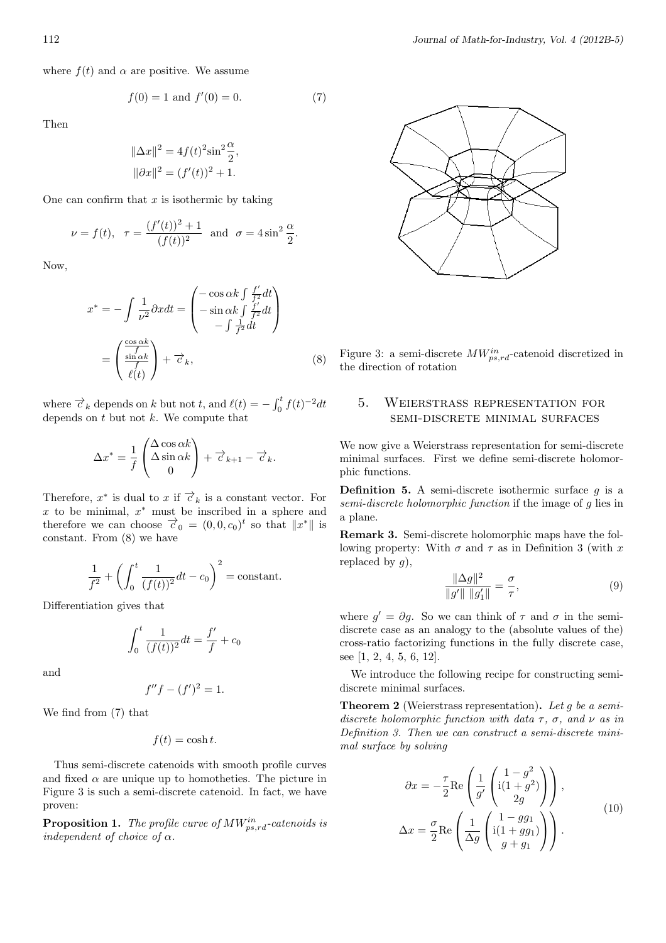where  $f(t)$  and  $\alpha$  are positive. We assume

$$
f(0) = 1 \text{ and } f'(0) = 0. \tag{7}
$$

Then

$$
\|\Delta x\|^2 = 4f(t)^2 \sin^2 \frac{\alpha}{2},
$$
  

$$
\|\partial x\|^2 = (f'(t))^2 + 1.
$$

One can confirm that *x* is isothermic by taking

$$
\nu = f(t), \ \ \tau = \frac{(f'(t))^2 + 1}{(f(t))^2}
$$
 and  $\sigma = 4 \sin^2 \frac{\alpha}{2}$ .

Now,

$$
x^* = -\int \frac{1}{\nu^2} \partial x dt = \begin{pmatrix} -\cos \alpha k \int \frac{f'}{f^2} dt \\ -\sin \alpha k \int \frac{f'}{f^2} dt \\ -\int \frac{1}{f^2} dt \end{pmatrix}
$$

$$
= \begin{pmatrix} \frac{\cos \alpha k}{f} \\ \frac{\sin \alpha k}{f} \\ \ell(t) \end{pmatrix} + \vec{\sigma}_k, \tag{8}
$$

where  $\vec{c}_k$  depends on *k* but not *t*, and  $\ell(t) = -\int_0^t f(t)^{-2} dt$ depends on *t* but not *k*. We compute that

$$
\Delta x^* = \frac{1}{f} \begin{pmatrix} \Delta \cos \alpha k \\ \Delta \sin \alpha k \\ 0 \end{pmatrix} + \overrightarrow{c}_{k+1} - \overrightarrow{c}_k.
$$

Therefore,  $x^*$  is dual to  $x$  if  $\overrightarrow{c}_k$  is a constant vector. For *x* to be minimal, *x <sup>∗</sup>* must be inscribed in a sphere and therefore we can choose  $\vec{\tau}_0 = (0, 0, c_0)^t$  so that  $||x^*||$  is constant. From (8) we have

$$
\frac{1}{f^2} + \left( \int_0^t \frac{1}{(f(t))^2} dt - c_0 \right)^2 = \text{constant}.
$$

Differentiation gives that

$$
\int_0^t \frac{1}{(f(t))^2} dt = \frac{f'}{f} + c_0
$$

and

$$
f''f - (f')^2 = 1.
$$

We find from (7) that

$$
f(t) = \cosh t.
$$

Thus semi-discrete catenoids with smooth profile curves and fixed  $\alpha$  are unique up to homotheties. The picture in Figure 3 is such a semi-discrete catenoid. In fact, we have proven:

**Proposition 1.** *The profile curve of MWin ps,rd-catenoids is independent of choice of α.*



Figure 3: a semi-discrete *MWin ps,rd*-catenoid discretized in the direction of rotation

## 5. Weierstrass representation for semi-discrete minimal surfaces

We now give a Weierstrass representation for semi-discrete minimal surfaces. First we define semi-discrete holomorphic functions.

**Definition 5.** A semi-discrete isothermic surface *g* is a *semi-discrete holomorphic function* if the image of *g* lies in a plane.

**Remark 3.** Semi-discrete holomorphic maps have the following property: With  $\sigma$  and  $\tau$  as in Definition 3 (with x replaced by *g*),

$$
\frac{\|\Delta g\|^2}{\|g'\| \|g_1'\|} = \frac{\sigma}{\tau},
$$
\n(9)

where  $g' = \partial g$ . So we can think of  $\tau$  and  $\sigma$  in the semidiscrete case as an analogy to the (absolute values of the) cross-ratio factorizing functions in the fully discrete case, see [1, 2, 4, 5, 6, 12].

We introduce the following recipe for constructing semidiscrete minimal surfaces.

**Theorem 2** (Weierstrass representation)**.** *Let g be a semidiscrete holomorphic function with data*  $\tau$ ,  $\sigma$ , and  $\nu$  *as in Definition 3. Then we can construct a semi-discrete minimal surface by solving*

$$
\partial x = -\frac{\tau}{2} \text{Re} \left( \frac{1}{g'} \begin{pmatrix} 1 - g^2 \\ i(1 + g^2) \\ 2g \end{pmatrix} \right),
$$
  

$$
\Delta x = \frac{\sigma}{2} \text{Re} \left( \frac{1}{\Delta g} \begin{pmatrix} 1 - gg_1 \\ i(1 + gg_1) \\ g + g_1 \end{pmatrix} \right).
$$
 (10)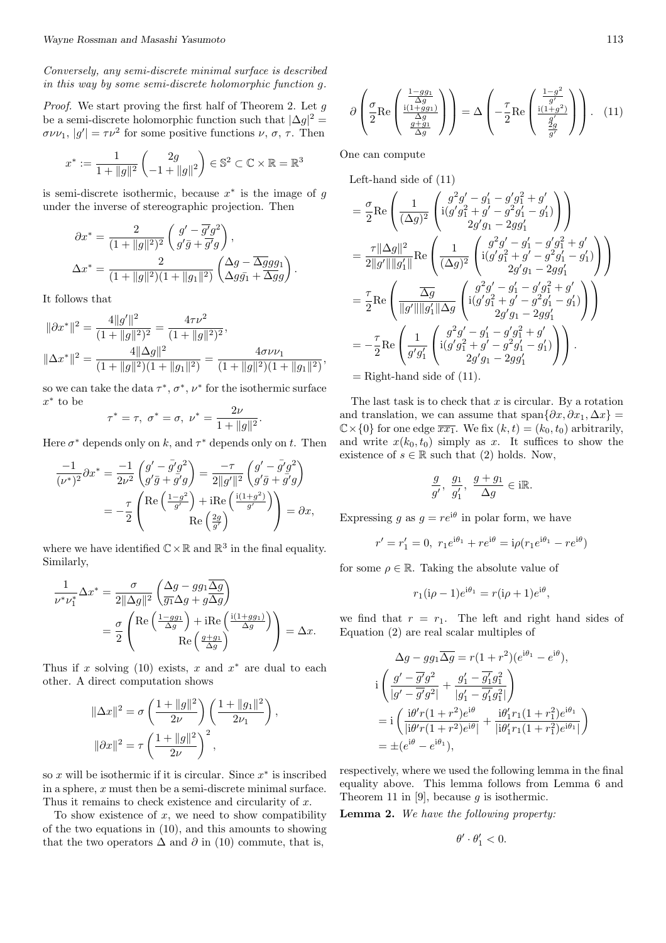*Conversely, any semi-discrete minimal surface is described in this way by some semi-discrete holomorphic function g.*

*Proof.* We start proving the first half of Theorem 2. Let *g* be a semi-discrete holomorphic function such that  $|\Delta g|^2 =$  $\sigma \nu \nu_1$ ,  $|g'| = \tau \nu^2$  for some positive functions  $\nu$ ,  $\sigma$ ,  $\tau$ . Then

$$
x^* := \frac{1}{1 + \|g\|^2} \begin{pmatrix} 2g \\ -1 + \|g\|^2 \end{pmatrix} \in \mathbb{S}^2 \subset \mathbb{C} \times \mathbb{R} = \mathbb{R}^3
$$

is semi-discrete isothermic, because *x ∗* is the image of *g* under the inverse of stereographic projection. Then

$$
\partial x^* = \frac{2}{(1+\|g\|^2)^2} \left( \frac{g' - \overline{g'}g^2}{g'\overline{g} + \overline{g'}g} \right),
$$
  

$$
\Delta x^* = \frac{2}{(1+\|g\|^2)(1+\|g_1\|^2)} \left( \frac{\Delta g - \overline{\Delta g}gg_1}{\Delta g\overline{g}_1 + \overline{\Delta g}g} \right).
$$

It follows that

$$
\|\partial x^*\|^2 = \frac{4\|g'\|^2}{(1+\|g\|^2)^2} = \frac{4\tau\nu^2}{(1+\|g\|^2)^2},
$$
  

$$
\|\Delta x^*\|^2 = \frac{4\|\Delta g\|^2}{(1+\|g\|^2)(1+\|g_1\|^2)} = \frac{4\sigma\nu\nu_1}{(1+\|g\|^2)(1+\|g_1\|^2)}
$$

so we can take the data  $\tau^*, \sigma^*, \nu^*$  for the isothermic surface *x ∗* to be

$$
\tau^* = \tau, \ \sigma^* = \sigma, \ \nu^* = \frac{2\nu}{1 + \|g\|^2}.
$$

Here  $\sigma^*$  depends only on  $k$ , and  $\tau^*$  depends only on  $t$ . Then

$$
\frac{-1}{(\nu^*)^2} \partial x^* = \frac{-1}{2\nu^2} \begin{pmatrix} g' - \bar{g}' g^2 \\ g' \bar{g} + g' g \end{pmatrix} = \frac{-\tau}{2||g'||^2} \begin{pmatrix} g' - \bar{g}' g^2 \\ g' \bar{g} + g' g \end{pmatrix}
$$

$$
= -\frac{\tau}{2} \begin{pmatrix} \text{Re}\left(\frac{1-g^2}{g'}\right) + \text{Re}\left(\frac{\text{i}(1+g^2)}{g'}\right) \\ \text{Re}\left(\frac{2g}{g'}\right) \end{pmatrix} = \partial x,
$$

where we have identified  $\mathbb{C} \times \mathbb{R}$  and  $\mathbb{R}^3$  in the final equality. Similarly,

$$
\frac{1}{\nu^*\nu_1^*} \Delta x^* = \frac{\sigma}{2\|\Delta g\|^2} \left( \frac{\Delta g - gg_1 \overline{\Delta g}}{g_1 \Delta g + g \overline{\Delta g}} \right)
$$
  
= 
$$
\frac{\sigma}{2} \left( \frac{\text{Re} \left( \frac{1 - gg_1}{\Delta g} \right) + \text{iRe} \left( \frac{\text{i}(1 + gg_1)}{\Delta g} \right)}{\text{Re} \left( \frac{g + g_1}{\Delta g} \right)} \right) = \Delta x.
$$

Thus if *x* solving (10) exists, *x* and *x <sup>∗</sup>* are dual to each other. A direct computation shows

$$
\|\Delta x\|^2 = \sigma \left(\frac{1 + \|g\|^2}{2\nu}\right) \left(\frac{1 + \|g_1\|^2}{2\nu_1}\right),
$$
  

$$
\|\partial x\|^2 = \tau \left(\frac{1 + \|g\|^2}{2\nu}\right)^2,
$$

so *x* will be isothermic if it is circular. Since *x ∗* is inscribed in a sphere, *x* must then be a semi-discrete minimal surface. Thus it remains to check existence and circularity of *x*.

To show existence of *x*, we need to show compatibility of the two equations in (10), and this amounts to showing that the two operators  $\Delta$  and  $\partial$  in (10) commute, that is,

$$
\partial \left( \frac{\sigma}{2} \text{Re} \left( \frac{\frac{1 - gg_1}{\Delta g}}{\frac{\Delta g}{\Delta g}} \right) \right) = \Delta \left( -\frac{\tau}{2} \text{Re} \left( \frac{\frac{1 - g^2}{g'}}{\frac{i(1 + g^2)}{g'}} \right) \right). \quad (11)
$$

One can compute

*,*

Left-hand side of (11)

$$
= \frac{\sigma}{2} \text{Re} \left( \frac{1}{(\Delta g)^2} \left( \frac{g^2 g' - g_1' - g' g_1^2 + g'}{i(g' g_1^2 + g' - g^2 g_1' - g_1')} \right) \right)
$$
  
\n
$$
= \frac{\tau ||\Delta g||^2}{2||g'||||g_1'||} \text{Re} \left( \frac{1}{(\Delta g)^2} \left( \frac{g^2 g' - g_1' - g' g_1^2 + g'}{i(g' g_1^2 + g' - g^2 g_1' - g_1')} \right) \right)
$$
  
\n
$$
= \frac{\tau}{2} \text{Re} \left( \frac{\overline{\Delta g}}{||g'||||g_1'||\Delta g} \left( \frac{g^2 g' - g_1' - g' g_1' + g'}{i(g' g_1^2 + g' - g^2 g_1' - g_1')} \right) \right)
$$
  
\n
$$
= \frac{\tau}{2} \text{Re} \left( \frac{1}{||g'||||g_1'||\Delta g} \left( \frac{g^2 g' - g_1' - g' g_1^2 + g'}{2g' g_1 - 2g g_1'} \right) \right)
$$
  
\n
$$
= -\frac{\tau}{2} \text{Re} \left( \frac{1}{g' g_1'} \left( \frac{g^2 g' - g_1' - g' g_1^2 + g'}{2g' g_1 - 2g g_1'} \right) \right).
$$
  
\n= Right-hand side of (11).

The last task is to check that *x* is circular. By a rotation and translation, we can assume that span $\{\partial x, \partial x_1, \Delta x\} =$  $\mathbb{C}\times\{0\}$  for one edge  $\overline{xx_1}$ . We fix  $(k,t) = (k_0, t_0)$  arbitrarily, and write  $x(k_0, t_0)$  simply as x. It suffices to show the existence of  $s \in \mathbb{R}$  such that (2) holds. Now,

$$
\frac{g}{g'},\ \frac{g_1}{g'_1},\ \frac{g+g_1}{\Delta g}\in i\mathbb{R}.
$$

Expressing *g* as  $g = re^{i\theta}$  in polar form, we have

$$
r' = r'_1 = 0
$$
,  $r_1 e^{i\theta_1} + r e^{i\theta} = i\rho (r_1 e^{i\theta_1} - r e^{i\theta})$ 

for some  $\rho \in \mathbb{R}$ . Taking the absolute value of

$$
r_1(i\rho - 1)e^{i\theta_1} = r(i\rho + 1)e^{i\theta},
$$

we find that  $r = r_1$ . The left and right hand sides of Equation (2) are real scalar multiples of

$$
\Delta g - g g_1 \overline{\Delta g} = r (1 + r^2) (e^{i\theta_1} - e^{i\theta}),
$$
  
\n
$$
i \left( \frac{g' - \overline{g'} g^2}{|g' - \overline{g'} g^2|} + \frac{g'_1 - \overline{g'_1} g_1^2}{|g'_1 - \overline{g'_1} g_1^2|} \right)
$$
  
\n
$$
= i \left( \frac{i \theta' r (1 + r^2) e^{i\theta}}{|i \theta' r (1 + r^2) e^{i\theta}|} + \frac{i \theta'_1 r_1 (1 + r_1^2) e^{i\theta_1}}{|i \theta'_1 r_1 (1 + r_1^2) e^{i\theta_1}|} \right)
$$
  
\n
$$
= \pm (e^{i\theta} - e^{i\theta_1}),
$$

respectively, where we used the following lemma in the final equality above. This lemma follows from Lemma 6 and Theorem 11 in [9], because *g* is isothermic.

**Lemma 2.** *We have the following property:*

$$
\theta' \cdot \theta'_1 < 0.
$$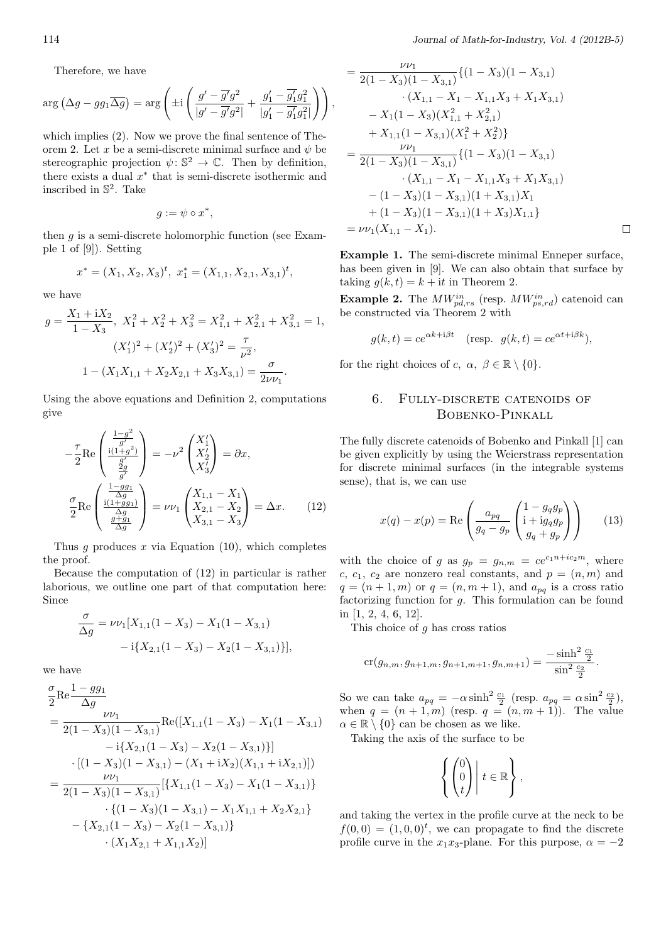Therefore, we have

$$
\arg\left(\Delta g - gg_1\overline{\Delta g}\right) = \arg\left(\pm i\left(\frac{g' - \overline{g'}g^2}{|g' - \overline{g'}g^2|} + \frac{g'_1 - \overline{g'_1}g_1^2}{|g'_1 - \overline{g'_1}g_1^2|}\right)\right),\,
$$

which implies (2). Now we prove the final sentence of Theorem 2. Let *x* be a semi-discrete minimal surface and  $\psi$  be stereographic projection  $\psi: \mathbb{S}^2 \to \mathbb{C}$ . Then by definition, there exists a dual *x ∗* that is semi-discrete isothermic and inscribed in S 2 . Take

$$
g:=\psi\circ x^*,
$$

then *g* is a semi-discrete holomorphic function (see Example 1 of [9]). Setting

$$
x^* = (X_1, X_2, X_3)^t, \ x_1^* = (X_{1,1}, X_{2,1}, X_{3,1})^t,
$$

we have

$$
g = \frac{X_1 + iX_2}{1 - X_3}, \ X_1^2 + X_2^2 + X_3^2 = X_{1,1}^2 + X_{2,1}^2 + X_{3,1}^2 = 1,
$$
  

$$
(X_1')^2 + (X_2')^2 + (X_3')^2 = \frac{\tau}{\nu^2},
$$
  

$$
1 - (X_1X_{1,1} + X_2X_{2,1} + X_3X_{3,1}) = \frac{\sigma}{2\nu\nu_1}.
$$

Using the above equations and Definition 2, computations give

$$
-\frac{\tau}{2}\text{Re}\left(\frac{\frac{1-g^2}{g'}}{\frac{g'}{g'}}\right) = -\nu^2 \begin{pmatrix} X_1'\\ X_2'\\ X_3' \end{pmatrix} = \partial x,
$$
  

$$
\frac{\sigma}{2}\text{Re}\left(\frac{\frac{1-gg_1}{g'}}{\frac{\Delta g}{g}}\right) = \nu\nu_1 \begin{pmatrix} X_{1,1} - X_1\\ X_{2,1} - X_2\\ X_{3,1} - X_3 \end{pmatrix} = \Delta x.
$$
 (12)

Thus *g* produces *x* via Equation (10), which completes the proof.

Because the computation of (12) in particular is rather laborious, we outline one part of that computation here: Since

$$
\frac{\sigma}{\Delta g} = \nu \nu_1 [X_{1,1}(1 - X_3) - X_1(1 - X_{3,1}) -i\{X_{2,1}(1 - X_3) - X_2(1 - X_{3,1})\}],
$$

we have

$$
\frac{\sigma}{2} \text{Re} \frac{1 - g g_1}{\Delta g}
$$
\n
$$
= \frac{\nu \nu_1}{2(1 - X_3)(1 - X_{3,1})} \text{Re}([X_{1,1}(1 - X_3) - X_1(1 - X_{3,1}) -\mathbf{i}\{X_{2,1}(1 - X_3) - X_2(1 - X_{3,1})\}] -\mathbf{i}[X_{2,1}(1 - X_3) - (X_1 + \mathbf{i}X_2)(X_{1,1} + \mathbf{i}X_{2,1})])
$$
\n
$$
= \frac{\nu \nu_1}{2(1 - X_3)(1 - X_{3,1})} [\{X_{1,1}(1 - X_3) - X_1(1 - X_{3,1})\} -\{X_{1,1}(1 - X_3) - X_1X_{1,1} + X_2X_{2,1}\} -\{X_{2,1}(1 - X_3) - X_2(1 - X_{3,1})\} -\{X_{1,1}(1 - X_3) - X_2(1 - X_{3,1})\} -\{X_{1,1}(1 - X_{1,1}) - X_{1,1}(1 - X_{3,1})\} -\{X_{1,1}(1 - X_{1,1}) - X_{1,1}(1 - X_{3,1})\} -\{X_{1,1}(1 - X_{1,1}) - X_{1,1}(1 - X_{3,1})\} -\{X_{1,1}(1 - X_{1,1}) - X_{1,1}(1 - X_{3,1})\} -\{X_{1,1}(1 - X_{1,1}) - X_{1,1}(1 - X_{3,1})\} -\{X_{1,1}(1 - X_{1,1}) - X_{1,1}(1 - X_{3,1})\} -\{X_{1,1}(1 - X_{1,1}) - X_{1,1}(1 - X_{3,1})\} -\{X_{1,1}(1 - X_{1,1}) - X_{1,1}(1 - X_{3,1})\} -\{X_{1,1}(1 - X_{1,1}) - X_{1,1}(1 - X_{3,1})\} -\{X_{1,1}(1 - X_{1,1}) - X_{1,1}(1 - X_{3,1})\} -\{X_{1,1}(1 - X_{1,1}) - X_{1,1}(1 - X_{3,1})\} -\{X_{1,1}(1 - X_{1,1}) - X_{1,1}(1 - X_{3,1})\} -\{X_{1,1}(1 -
$$

$$
= \frac{\nu \nu_1}{2(1 - X_3)(1 - X_{3,1})} \{(1 - X_3)(1 - X_{3,1})
$$
  
\n
$$
\cdot (X_{1,1} - X_1 - X_{1,1}X_3 + X_1X_{3,1})
$$
  
\n
$$
- X_1(1 - X_3)(X_{1,1}^2 + X_{2,1}^2)
$$
  
\n
$$
+ X_{1,1}(1 - X_{3,1})(X_1^2 + X_2^2)\}
$$
  
\n
$$
= \frac{\nu \nu_1}{2(1 - X_3)(1 - X_{3,1})} \{(1 - X_3)(1 - X_{3,1})
$$
  
\n
$$
\cdot (X_{1,1} - X_1 - X_{1,1}X_3 + X_1X_{3,1})
$$
  
\n
$$
- (1 - X_3)(1 - X_{3,1})(1 + X_{3,1})X_1
$$
  
\n
$$
+ (1 - X_3)(1 - X_{3,1})(1 + X_3)X_{1,1}\}
$$
  
\n
$$
= \nu \nu_1 (X_{1,1} - X_1).
$$

**Example 1.** The semi-discrete minimal Enneper surface, has been given in [9]. We can also obtain that surface by taking  $g(k, t) = k + it$  in Theorem 2.

**Example 2.** The  $MW_{pd,rs}^{in}$  (resp.  $MW_{ps,rd}^{in}$ ) catenoid can be constructed via Theorem 2 with

$$
g(k,t) = ce^{\alpha k + i\beta t}
$$
 (resp.  $g(k,t) = ce^{\alpha t + i\beta k}$ ),

for the right choices of *c*,  $\alpha$ ,  $\beta \in \mathbb{R} \setminus \{0\}$ .

### 6. Fully-discrete catenoids of Bobenko-Pinkall

The fully discrete catenoids of Bobenko and Pinkall [1] can be given explicitly by using the Weierstrass representation for discrete minimal surfaces (in the integrable systems sense), that is, we can use

$$
x(q) - x(p) = \text{Re}\left(\frac{a_{pq}}{g_q - g_p} \begin{pmatrix} 1 - g_q g_p \\ \mathbf{i} + \mathbf{i} g_q g_p \\ g_q + g_p \end{pmatrix}\right) \tag{13}
$$

with the choice of *g* as  $g_p = g_{n,m} = ce^{c_1 n + ic_2 m}$ , where *c*,  $c_1$ ,  $c_2$  are nonzero real constants, and  $p = (n, m)$  and  $q = (n+1, m)$  or  $q = (n, m+1)$ , and  $a_{pq}$  is a cross ratio factorizing function for *g*. This formulation can be found in [1, 2, 4, 6, 12].

This choice of *g* has cross ratios

$$
\operatorname{cr}(g_{n,m}, g_{n+1,m}, g_{n+1,m+1}, g_{n,m+1}) = \frac{-\sinh^2 \frac{c_1}{2}}{\sin^2 \frac{c_2}{2}}.
$$

So we can take  $a_{pq} = -\alpha \sinh^2 \frac{c_1}{2}$  (resp.  $a_{pq} = \alpha \sin^2 \frac{c_2}{2}$ ), when  $q = (n+1,m)$  (resp.  $q = (n,m+1)$ ). The value  $\alpha \in \mathbb{R} \setminus \{0\}$  can be chosen as we like.

Taking the axis of the surface to be

$$
\left\{ \begin{pmatrix} 0 \\ 0 \\ t \end{pmatrix} \middle| t \in \mathbb{R} \right\},\
$$

and taking the vertex in the profile curve at the neck to be  $f(0,0) = (1,0,0)<sup>t</sup>$ , we can propagate to find the discrete profile curve in the  $x_1x_3$ -plane. For this purpose,  $\alpha = -2$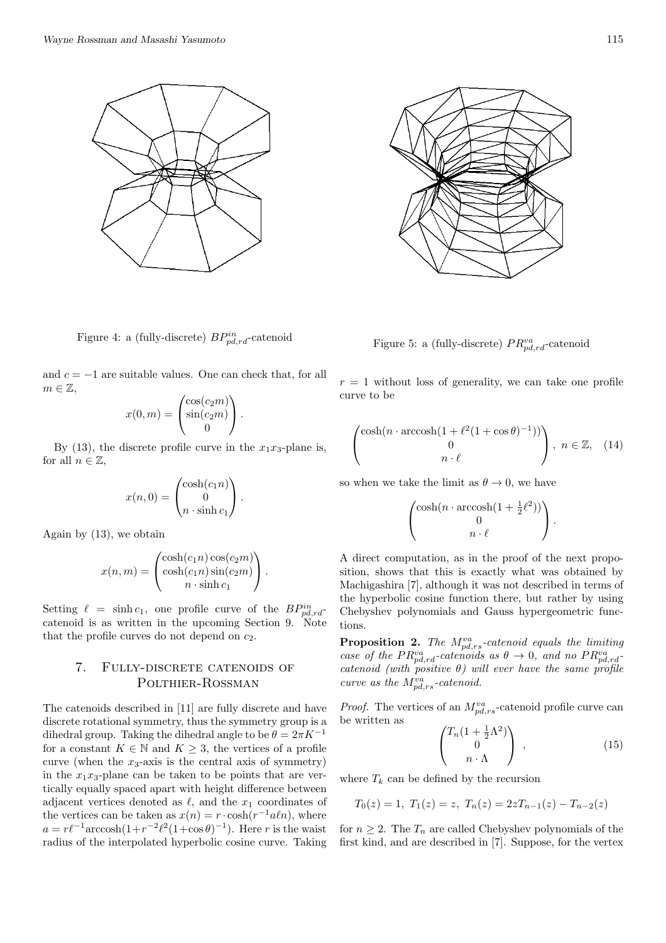

Figure 4: a (fully-discrete) *BPin pd,rd*-catenoid

and *c* = *−*1 are suitable values. One can check that, for all  $m \in \mathbb{Z}$ ,

$$
x(0,m) = \begin{pmatrix} \cos(c_2m) \\ \sin(c_2m) \\ 0 \end{pmatrix}.
$$

By (13), the discrete profile curve in the  $x_1x_3$ -plane is, for all  $n \in \mathbb{Z}$ ,

$$
x(n,0) = \begin{pmatrix} \cosh(c_1 n) \\ 0 \\ n \cdot \sinh c_1 \end{pmatrix}.
$$

Again by (13), we obtain

$$
x(n,m) = \begin{pmatrix} \cosh(c_1 n) \cos(c_2 m) \\ \cosh(c_1 n) \sin(c_2 m) \\ n \cdot \sinh c_1 \end{pmatrix}.
$$

Setting  $\ell = \sinh c_1$ , one profile curve of the  $BP_{pd,rd}^{in}$ catenoid is as written in the upcoming Section 9. Note that the profile curves do not depend on *c*2.

### 7. Fully-discrete catenoids of POLTHIER-ROSSMAN

The catenoids described in [11] are fully discrete and have discrete rotational symmetry, thus the symmetry group is a dihedral group. Taking the dihedral angle to be  $\theta = 2\pi K^{-1}$ for a constant  $K \in \mathbb{N}$  and  $K \geq 3$ , the vertices of a profile curve (when the  $x_3$ -axis is the central axis of symmetry) in the  $x_1x_3$ -plane can be taken to be points that are vertically equally spaced apart with height difference between adjacent vertices denoted as  $\ell$ , and the  $x_1$  coordinates of the vertices can be taken as  $x(n) = r \cdot \cosh(r^{-1} a/n)$ , where  $a = r\ell^{-1} \arccosh\left(1 + r^{-2}\ell^2(1+\cos\theta)^{-1}\right)$ . Here *r* is the waist radius of the interpolated hyperbolic cosine curve. Taking



Figure 5: a (fully-discrete)  $PR^{va}_{pd,rd}$ -catenoid

 $r = 1$  without loss of generality, we can take one profile curve to be

$$
\begin{pmatrix}\n\cosh(n \cdot \arccosh(1 + \ell^2(1 + \cos \theta)^{-1})) \\
0 \\
n \cdot \ell\n\end{pmatrix}, \quad n \in \mathbb{Z}, \quad (14)
$$

so when we take the limit as  $\theta \to 0$ , we have

$$
\begin{pmatrix}\n\cosh(n \cdot \operatorname{arccosh}(1 + \frac{1}{2}\ell^2)) \\
0 \\
n \cdot \ell\n\end{pmatrix}.
$$

A direct computation, as in the proof of the next proposition, shows that this is exactly what was obtained by Machigashira [7], although it was not described in terms of the hyperbolic cosine function there, but rather by using Chebyshev polynomials and Gauss hypergeometric functions.

**Proposition 2.** *The Mva pd,rs-catenoid equals the limiting case of the PR*<sup>*va*</sup><sub>*pd,rd</sub>*-*catenoids as*  $\theta \rightarrow 0$ *, and no*  $PR^{va}_{pd,rd}$ </sub> *catenoid (with positive θ) will ever have the same profile curve as the Mva pd,rs-catenoid.*

*Proof.* The vertices of an  $M_{pd,rs}^{va}$ -catenoid profile curve can be written as

$$
\begin{pmatrix} T_n(1 + \frac{1}{2}\Lambda^2) \\ 0 \\ n \cdot \Lambda \end{pmatrix} , \qquad (15)
$$

where  $T_k$  can be defined by the recursion

$$
T_0(z) = 1
$$
,  $T_1(z) = z$ ,  $T_n(z) = 2zT_{n-1}(z) - T_{n-2}(z)$ 

for  $n \geq 2$ . The  $T_n$  are called Chebyshev polynomials of the first kind, and are described in [7]. Suppose, for the vertex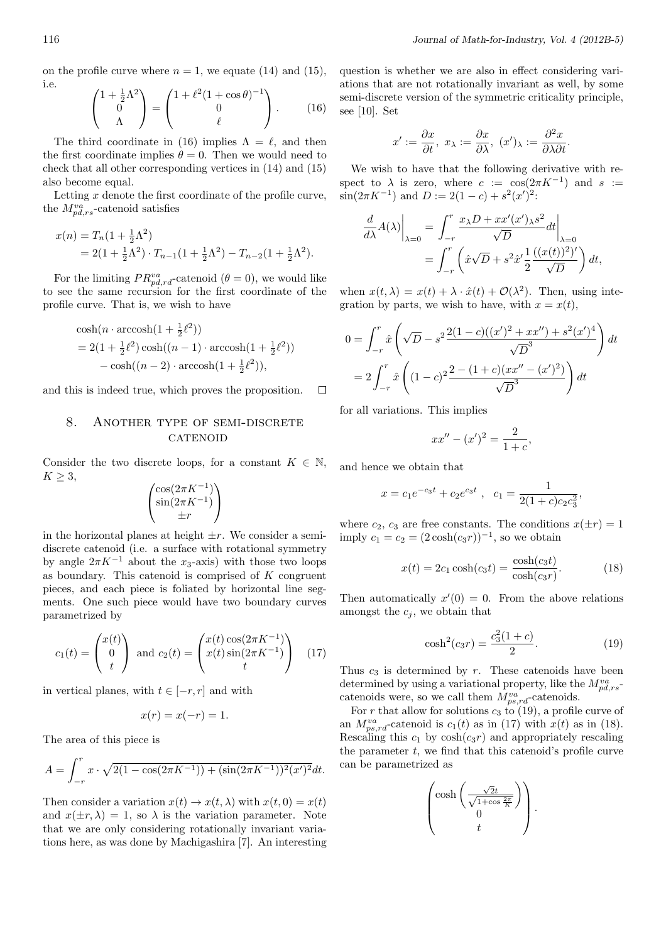on the profile curve where  $n = 1$ , we equate (14) and (15), i.e.

$$
\begin{pmatrix} 1 + \frac{1}{2}\Lambda^2 \\ 0 \\ \Lambda \end{pmatrix} = \begin{pmatrix} 1 + \ell^2 (1 + \cos \theta)^{-1} \\ 0 \\ \ell \end{pmatrix} . \qquad (16)
$$

The third coordinate in (16) implies  $\Lambda = \ell$ , and then the first coordinate implies  $\theta = 0$ . Then we would need to check that all other corresponding vertices in (14) and (15) also become equal.

Letting *x* denote the first coordinate of the profile curve, the  $M_{pd,rs}^{va}$ -catenoid satisfies

$$
x(n) = T_n(1 + \frac{1}{2}\Lambda^2)
$$
  
= 2(1 + \frac{1}{2}\Lambda^2) \cdot T\_{n-1}(1 + \frac{1}{2}\Lambda^2) - T\_{n-2}(1 + \frac{1}{2}\Lambda^2).

For the limiting  $PR^{va}_{pd,rd}$ -catenoid ( $\theta = 0$ ), we would like to see the same recursion for the first coordinate of the profile curve. That is, we wish to have

$$
\cosh(n \cdot \operatorname{arccosh}(1 + \frac{1}{2}\ell^2))
$$
  
= 2(1 + \frac{1}{2}\ell^2) \cosh((n - 1) \cdot \operatorname{arccosh}(1 + \frac{1}{2}\ell^2))  
-\cosh((n - 2) \cdot \operatorname{arccosh}(1 + \frac{1}{2}\ell^2)),

and this is indeed true, which proves the proposition.  $\Box$ 

### 8. ANOTHER TYPE OF SEMI-DISCRETE **CATENOID**

Consider the two discrete loops, for a constant  $K \in \mathbb{N}$ , *K ≥* 3,

$$
\begin{pmatrix}\n\cos(2\pi K^{-1}) \\
\sin(2\pi K^{-1}) \\
\pm r\n\end{pmatrix}
$$

in the horizontal planes at height  $\pm r$ . We consider a semidiscrete catenoid (i.e. a surface with rotational symmetry by angle  $2\pi K^{-1}$  about the *x*<sub>3</sub>-axis) with those two loops as boundary. This catenoid is comprised of *K* congruent pieces, and each piece is foliated by horizontal line segments. One such piece would have two boundary curves parametrized by

$$
c_1(t) = \begin{pmatrix} x(t) \\ 0 \\ t \end{pmatrix} \text{ and } c_2(t) = \begin{pmatrix} x(t) \cos(2\pi K^{-1}) \\ x(t) \sin(2\pi K^{-1}) \\ t \end{pmatrix} \quad (17)
$$

in vertical planes, with *t ∈* [*−r, r*] and with

$$
x(r) = x(-r) = 1.
$$

The area of this piece is

$$
A = \int_{-r}^{r} x \cdot \sqrt{2(1 - \cos(2\pi K^{-1})) + (\sin(2\pi K^{-1}))^{2}(x')^{2}} dt.
$$

Then consider a variation  $x(t) \rightarrow x(t, \lambda)$  with  $x(t, 0) = x(t)$ and  $x(\pm r, \lambda) = 1$ , so  $\lambda$  is the variation parameter. Note that we are only considering rotationally invariant variations here, as was done by Machigashira [7]. An interesting

question is whether we are also in effect considering variations that are not rotationally invariant as well, by some semi-discrete version of the symmetric criticality principle, see [10]. Set

$$
x' := \frac{\partial x}{\partial t}, \ x_\lambda := \frac{\partial x}{\partial \lambda}, \ (x')_\lambda := \frac{\partial^2 x}{\partial \lambda \partial t}.
$$

We wish to have that the following derivative with respect to  $\lambda$  is zero, where  $c := \cos(2\pi K^{-1})$  and  $s :=$  $\sin(2\pi K^{-1})$  and  $D := 2(1 - c) + s^2(x')^2$ :

$$
\frac{d}{d\lambda}A(\lambda)\Big|_{\lambda=0} = \int_{-r}^{r} \frac{x_{\lambda}D + xx'(x')_{\lambda}s^2}{\sqrt{D}} dt\Big|_{\lambda=0}
$$

$$
= \int_{-r}^{r} \left(\hat{x}\sqrt{D} + s^2\hat{x}' \frac{1}{2} \frac{((x(t))^2)'}{\sqrt{D}}\right) dt,
$$

when  $x(t, \lambda) = x(t) + \lambda \cdot \hat{x}(t) + \mathcal{O}(\lambda^2)$ . Then, using integration by parts, we wish to have, with  $x = x(t)$ ,

$$
0 = \int_{-r}^{r} \hat{x} \left( \sqrt{D} - s^2 \frac{2(1-c)((x')^2 + xx'') + s^2(x')^4}{\sqrt{D}^3} \right) dt
$$
  
= 
$$
2 \int_{-r}^{r} \hat{x} \left( (1-c)^2 \frac{2 - (1+c)(xx'' - (x')^2)}{\sqrt{D}^3} \right) dt
$$

for all variations. This implies

$$
xx'' - (x')^2 = \frac{2}{1+c},
$$

and hence we obtain that

$$
x = c_1 e^{-c_3 t} + c_2 e^{c_3 t}
$$
,  $c_1 = \frac{1}{2(1+c)c_2 c_3^2}$ ,

where  $c_2$ ,  $c_3$  are free constants. The conditions  $x(\pm r) = 1$ imply  $c_1 = c_2 = (2 \cosh(c_3 r))^{-1}$ , so we obtain

$$
x(t) = 2c_1 \cosh(c_3 t) = \frac{\cosh(c_3 t)}{\cosh(c_3 r)}.
$$
 (18)

Then automatically  $x'(0) = 0$ . From the above relations amongst the  $c_j$ , we obtain that

$$
\cosh^2(c_3r) = \frac{c_3^2(1+c)}{2}.
$$
\n(19)

Thus  $c_3$  is determined by  $r$ . These catenoids have been determined by using a variational property, like the  $M_{pd,rs}^{va}$ catenoids were, so we call them  $M_{ps,rd}^{va}$ -catenoids.

For *r* that allow for solutions  $c_3$  to (19), a profile curve of an  $M_{ps,rd}^{va}$ -catenoid is  $c_1(t)$  as in (17) with  $x(t)$  as in (18). Rescaling this  $c_1$  by  $\cosh(c_3r)$  and appropriately rescaling the parameter *t*, we find that this catenoid's profile curve can be parametrized as

$$
\begin{pmatrix}\n\cosh\left(\frac{\sqrt{2}t}{\sqrt{1+\cos\frac{2\pi}{K}}}\right) \\
0 \\
t\n\end{pmatrix}.
$$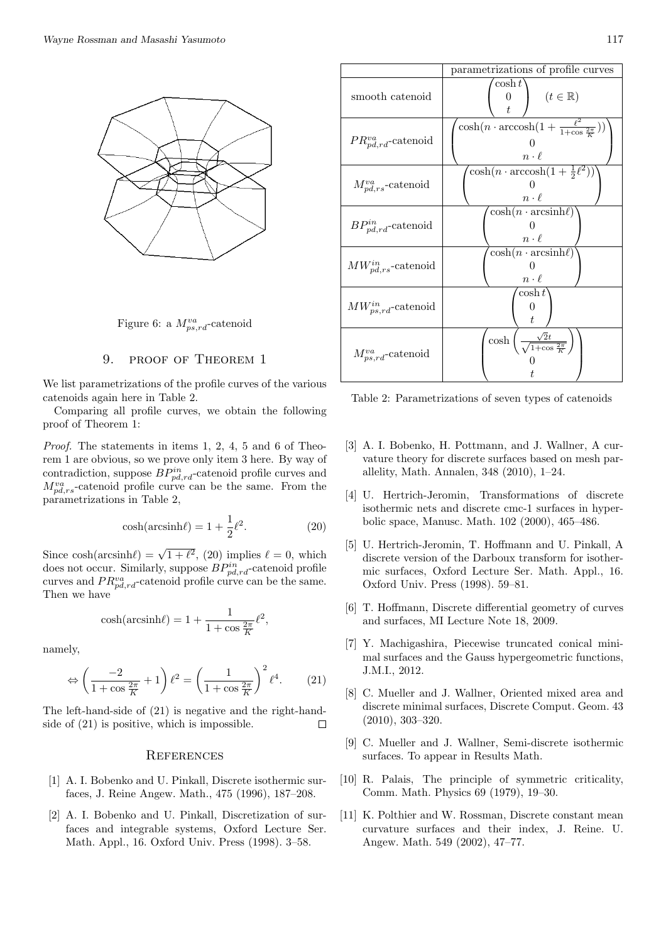

Figure 6: a  $M_{ps,rd}^{va}$ -catenoid

#### 9. proof of Theorem 1

We list parametrizations of the profile curves of the various catenoids again here in Table 2.

Comparing all profile curves, we obtain the following proof of Theorem 1:

*Proof.* The statements in items 1, 2, 4, 5 and 6 of Theorem 1 are obvious, so we prove only item 3 here. By way of contradiction, suppose  $BP_{pd,rd}^{in}$ -catenoid profile curves and  $M^{va}_{pd,rs}$ -catenoid profile curve can be the same. From the parametrizations in Table 2,

$$
\cosh(\operatorname{arcsinh}\ell) = 1 + \frac{1}{2}\ell^2. \tag{20}
$$

Since  $\cosh(\arcsinh\ell) = \sqrt{1+\ell^2}$ , (20) implies  $\ell = 0$ , which does not occur. Similarly, suppose  $BP_{pd,rd}^{in}$ -catenoid profile curves and  $PR_{pd,rd}^{va}$ -catenoid profile curve can be the same. Then we have

$$
\cosh(\operatorname{arcsinh}\ell) = 1 + \frac{1}{1 + \cos\frac{2\pi}{K}}\ell^2,
$$

namely,

$$
\Leftrightarrow \left(\frac{-2}{1+\cos\frac{2\pi}{K}}+1\right)\ell^2 = \left(\frac{1}{1+\cos\frac{2\pi}{K}}\right)^2\ell^4.\tag{21}
$$

The left-hand-side of (21) is negative and the right-handside of (21) is positive, which is impossible.  $\Box$ 

#### **REFERENCES**

- [1] A. I. Bobenko and U. Pinkall, Discrete isothermic surfaces, J. Reine Angew. Math., 475 (1996), 187–208.
- [2] A. I. Bobenko and U. Pinkall, Discretization of surfaces and integrable systems, Oxford Lecture Ser. Math. Appl., 16. Oxford Univ. Press (1998). 3–58.



Table 2: Parametrizations of seven types of catenoids

- [3] A. I. Bobenko, H. Pottmann, and J. Wallner, A curvature theory for discrete surfaces based on mesh parallelity, Math. Annalen, 348 (2010), 1–24.
- [4] U. Hertrich-Jeromin, Transformations of discrete isothermic nets and discrete cmc-1 surfaces in hyperbolic space, Manusc. Math. 102 (2000), 465–486.
- [5] U. Hertrich-Jeromin, T. Hoffmann and U. Pinkall, A discrete version of the Darboux transform for isothermic surfaces, Oxford Lecture Ser. Math. Appl., 16. Oxford Univ. Press (1998). 59–81.
- [6] T. Hoffmann, Discrete differential geometry of curves and surfaces, MI Lecture Note 18, 2009.
- [7] Y. Machigashira, Piecewise truncated conical minimal surfaces and the Gauss hypergeometric functions, J.M.I., 2012.
- [8] C. Mueller and J. Wallner, Oriented mixed area and discrete minimal surfaces, Discrete Comput. Geom. 43 (2010), 303–320.
- [9] C. Mueller and J. Wallner, Semi-discrete isothermic surfaces. To appear in Results Math.
- [10] R. Palais, The principle of symmetric criticality, Comm. Math. Physics 69 (1979), 19–30.
- [11] K. Polthier and W. Rossman, Discrete constant mean curvature surfaces and their index, J. Reine. U. Angew. Math. 549 (2002), 47–77.